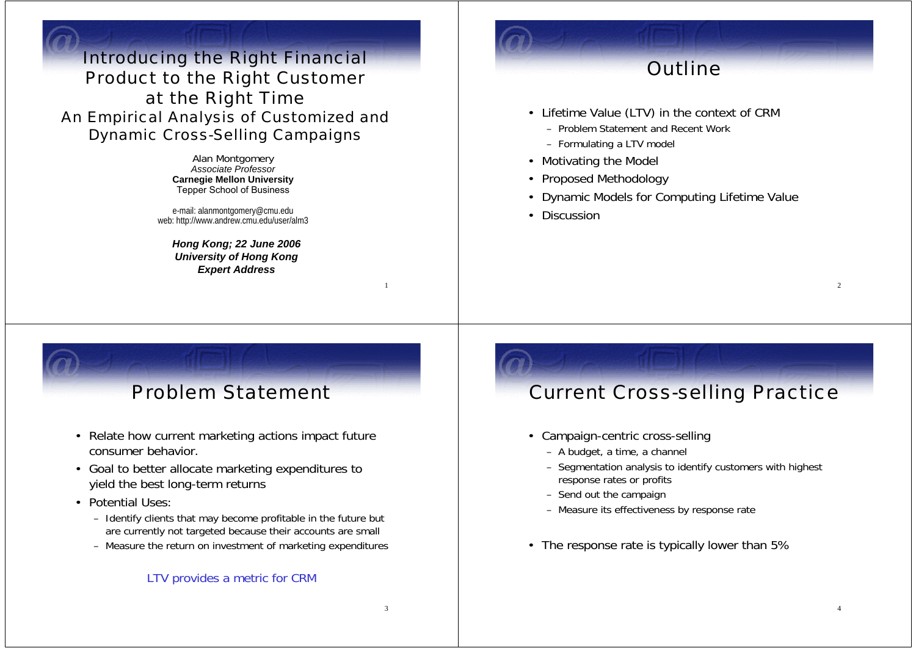Introducing the Right Financial Product to the Right Customer at the Right Time An Empirical Analysis of Customized and Dynamic Cross-Selling Campaigns

> Alan Montgomery *Associate Professor* **Carnegie Mellon University** Tepper School of Business

e-mail: alanmontgomery@cmu.edu web: http://www.andrew.cmu.edu/user/alm3

*Hong Kong; 22 June 2006 University of Hong Kong Expert Address*

# **Outline**

- Lifetime Value (LTV) in the context of CRM
	- Problem Statement and Recent Work
	- Formulating a LTV model
- Motivating the Model
- Proposed Methodology
- Dynamic Models for Computing Lifetime Value
- Discussion

#### Problem Statement

- Relate how current marketing actions impact future consumer behavior.
- Goal to better allocate marketing expenditures to yield the best long-term returns
- Potential Uses:
	- Identify clients that may become profitable in the future but are currently not targeted because their accounts are small
	- Measure the return on investment of marketing expenditures

#### LTV provides a metric for CRM

#### Current Cross-selling Practice

- Campaign-centric cross-selling
	- A budget, a time, a channel
	- Segmentation analysis to identify customers with highest response rates or profits
	- Send out the campaign
	- Measure its effectiveness by response rate
- The response rate is typically lower than 5%

3

1

 $\mathcal{L}$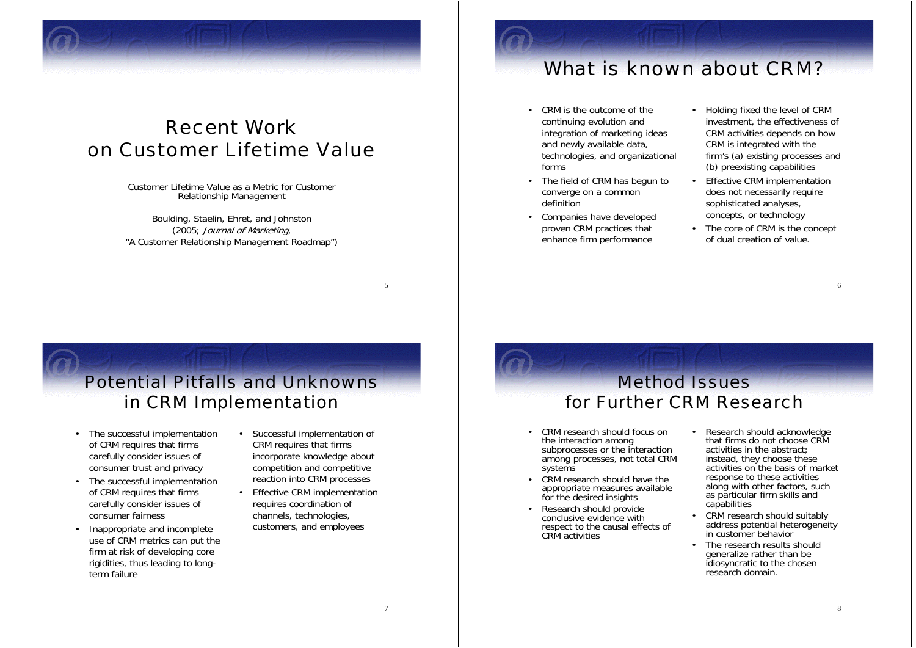

#### Recent Workon Customer Lifetime Value

Customer Lifetime Value as a Metric for Customer Relationship Management

Boulding, Staelin, Ehret, and Johnston (2005; Journal of Marketing, "A Customer Relationship Management Roadmap")

#### What is known about CRM?

- CRM is the outcome of the continuing evolution and integration of marketing ideas and newly available data, technologies, and organizational forms
- • The field of CRM has begun to converge on a common definition
- Companies have developed proven CRM practices that enhance firm performance
- Holding fixed the level of CRM investment, the effectiveness of CRM activities depends on how CRM is integrated with the firm's (a) existing processes and (b) preexisting capabilities
- • Effective CRM implementation does not necessarily require sophisticated analyses, concepts, or technology
- The core of CRM is the concept of dual creation of value.

#### Potential Pitfalls and Unknowns in CRM Implementation

•

- The successful implementation of CRM requires that firms carefully consider issues of consumer trust and privacy
- The successful implementation of CRM requires that firms carefully consider issues of consumer fairness
- • Inappropriate and incomplete use of CRM metrics can put the firm at risk of developing core rigidities, thus leading to longterm failure
- Successful implementation of CRM requires that firms incorporate knowledge about competition and competitive reaction into CRM processes
- • Effective CRM implementation requires coordination of channels, technologies, customers, and employees

#### Method Issuesfor Further CRM Research

- • CRM research should focus on the interaction among subprocesses or the interaction among processes, not total CRM systems
- CRM research should have the appropriate measures available for the desired insights
- Research should provide conclusive evidence with respect to the causal effects of CRM activities
- • Research should acknowledge that firms do not choose CRM activities in the abstract; instead, they choose these activities on the basis of market response to these activities along with other factors, such as particular firm skills and capabilities
- CRM research should suitably address potential heterogeneity in customer behavior
- The research results should generalize rather than be idiosyncratic to the chosen research domain.

7

5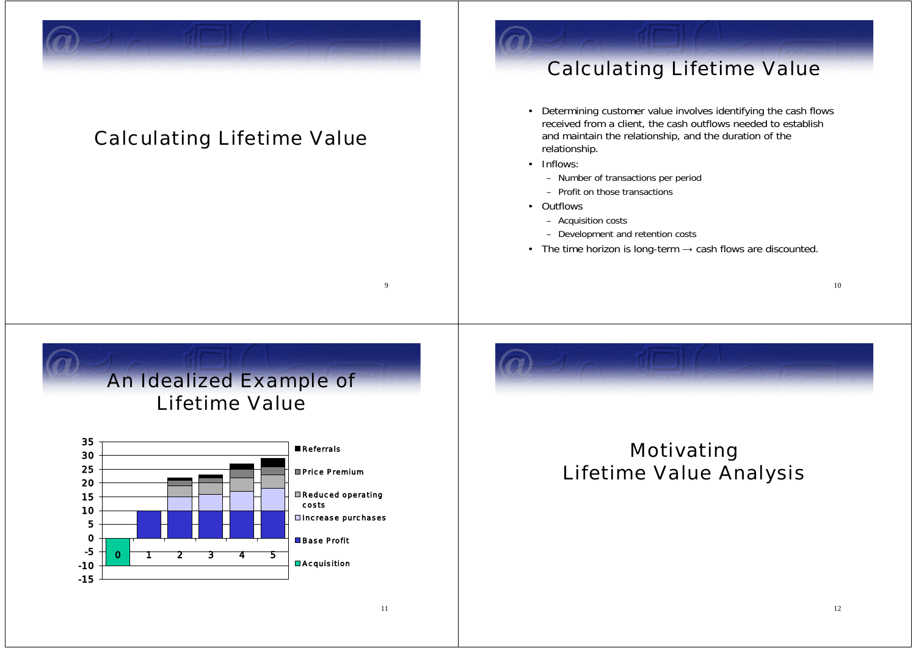

#### Calculating Lifetime Value

#### Calculating Lifetime Value

- Determining customer value involves identifying the cash flows received from a client, the cash outflows needed to establish and maintain the relationship, and the duration of the relationship.
- Inflows:
	- Number of transactions per period
	- Profit on those transactions
- Outflows
	- Acquisition costs
	- Development and retention costs
- The time horizon is long-term  $\rightarrow$  cash flows are discounted.

An Idealized Example of Lifetime Value



#### Motivating Lifetime Value Analysis

9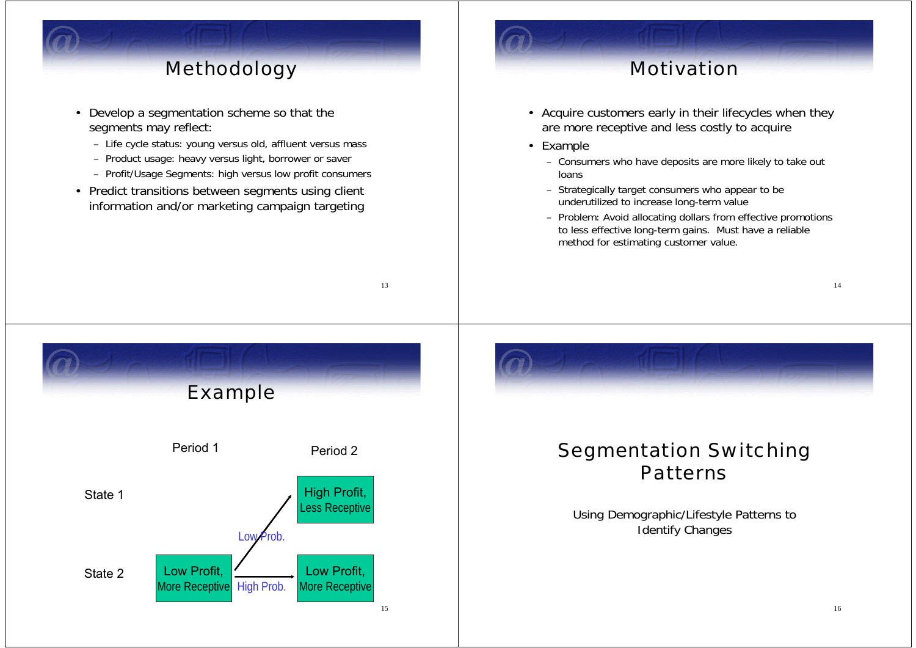## Methodology

- Develop a segmentation scheme so that the segments may reflect:
	- Life cycle status: young versus old, affluent versus mass
	- Product usage: heavy versus light, borrower or saver
	- Profit/Usage Segments: high versus low profit consumers

13

• Predict transitions between segments using client information and/or marketing campaign targeting

#### Motivation

- Acquire customers early in their lifecycles when they are more receptive and less costly to acquire
- Example
	- Consumers who have deposits are more likely to take out loans
	- Strategically target consumers who appear to be underutilized to increase long-term value
	- Problem: Avoid allocating dollars from effective promotions to less effective long-term gains. Must have a reliable method for estimating customer value.

15 Example Period 1 Period 2State 1State 2 Low Profit, More Receptive High Prob. High Profit, Less Receptive Low Profit, **More Receptive**  $\overline{P}$   $\overline{O}$ 

#### Segmentation Switching **Patterns**

Using Demographic/Lifestyle Patterns to Identify Changes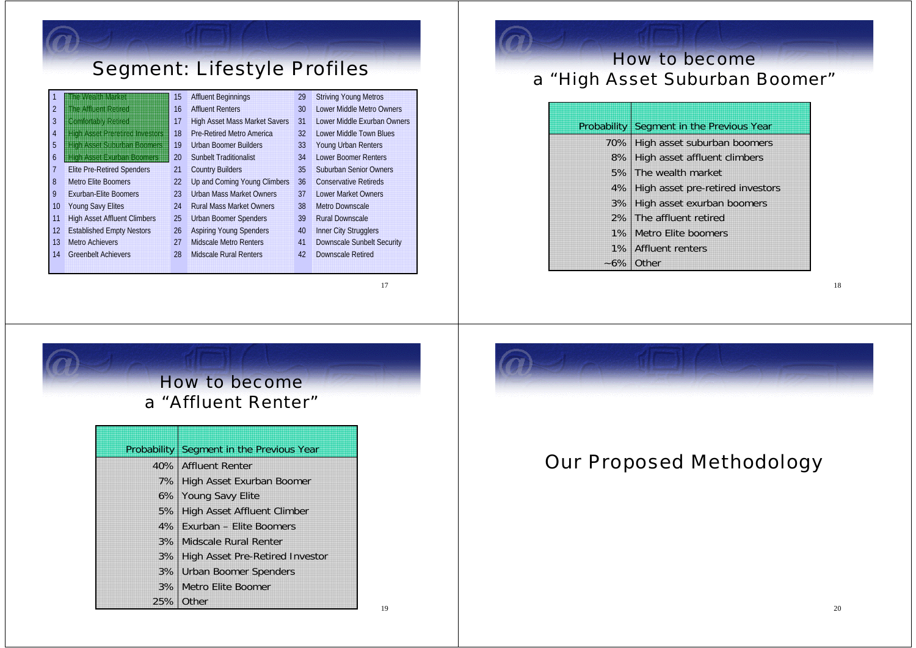| <b>Segment: Lifestyle Profiles</b> |                                       |    |                                      |    |                               |  |
|------------------------------------|---------------------------------------|----|--------------------------------------|----|-------------------------------|--|
|                                    | E HELVIS AND A                        | 15 | <b>Affluent Beginnings</b>           | 29 | <b>Striving Young Metros</b>  |  |
| $\overline{2}$                     | <b>Ine Afflicht Reined</b>            | 16 | <b>Affluent Renters</b>              | 30 | Lower Middle Metro Owners     |  |
| 3                                  | Comforably Retired                    | 17 | <b>High Asset Mass Market Savers</b> | 31 | Lower Middle Exurban Owners   |  |
| 4                                  | <b>THE REASSEN REGISTER INVESTORS</b> | 18 | Pre-Retired Metro America            | 32 | Lower Middle Town Blues       |  |
| 5                                  | <b>ING DEASSERS ON DEAL BOOMERS</b>   | 19 | Urban Boomer Builders                | 33 | Young Urban Renters           |  |
| 6                                  | <b>High Asset Exurban Boomers</b>     | 20 | <b>Sunbelt Traditionalist</b>        | 34 | Lower Boomer Renters          |  |
| 7                                  | <b>Elite Pre-Retired Spenders</b>     | 21 | <b>Country Builders</b>              | 35 | <b>Suburban Senior Owners</b> |  |
| 8                                  | <b>Metro Elite Boomers</b>            | 22 | Up and Coming Young Climbers         | 36 | <b>Conservative Retireds</b>  |  |
| 9                                  | <b>Exurban-Elite Boomers</b>          | 23 | <b>Urban Mass Market Owners</b>      | 37 | Lower Market Owners           |  |
| 10                                 | <b>Young Savy Elites</b>              | 24 | <b>Rural Mass Market Owners</b>      | 38 | <b>Metro Downscale</b>        |  |
| 11                                 | <b>High Asset Affluent Climbers</b>   | 25 | Urban Boomer Spenders                | 39 | <b>Rural Downscale</b>        |  |
| 12                                 | <b>Established Empty Nestors</b>      | 26 | <b>Aspiring Young Spenders</b>       | 40 | <b>Inner City Strugglers</b>  |  |
| 13                                 | <b>Metro Achievers</b>                | 27 | Midscale Metro Renters               | 41 | Downscale Sunbelt Security    |  |
| 14                                 | <b>Greenbelt Achievers</b>            | 28 | Midscale Rural Renters               | 42 | Downscale Retired             |  |
|                                    |                                       |    |                                      |    |                               |  |

17

#### How to become<sup>a</sup>"High Asset Suburban Boomer"

|       | Probability Segment in the Previous Year                             |
|-------|----------------------------------------------------------------------|
|       | 70% High asset suburban boomers                                      |
|       | 8% High asset affluent climbers                                      |
|       | 5% The wealth market                                                 |
|       |                                                                      |
|       | 4% High asset pre-retired investors<br>3% High asset exurban boomers |
|       | 2% The affluent retired                                              |
|       | 1% Metro Elite boomers                                               |
|       | 1% Affluent renters                                                  |
| $-6%$ | Other                                                                |



5% | High Asset Affluent Climber Exurban – Elite Boomers 4%3% | Midscale Rural Renter 3% | High Asset Pre-Retired Investor Urban Boomer Spenders 3% 3% | Metro Elite Boomer 25% Other



#### Our Proposed Methodology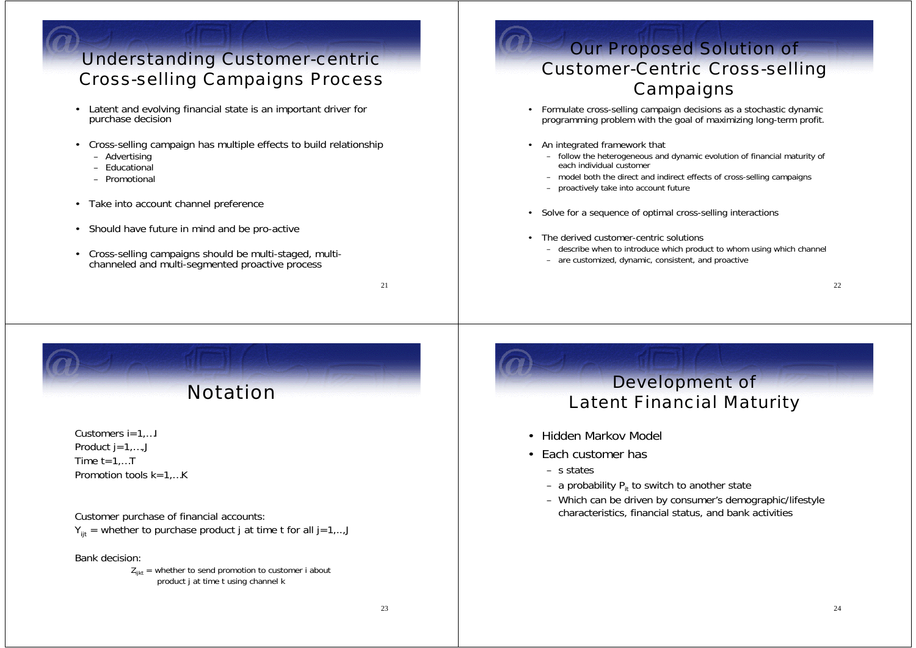#### Understanding Customer-centric Cross-selling Campaigns Process

- Latent and evolving financial state is an important driver for purchase decision
- Cross-selling campaign has multiple effects to build relationship
	- Advertising
	- Educational
	- Promotional
- Take into account channel preference
- Should have future in mind and be pro-active
- Cross-selling campaigns should be multi-staged, multichanneled and multi-segmented proactive process

21

#### Our Proposed Solution of Customer-Centric Cross-selling **Campaigns**

- Formulate cross-selling campaign decisions as a stochastic dynamic programming problem with the goal of maximizing long-term profit.
- An integrated framework that
	- follow the heterogeneous and dynamic evolution of financial maturity of each individual customer
	- model both the direct and indirect effects of cross-selling campaigns
	- proactively take into account future
- •Solve for a sequence of optimal cross-selling interactions
- The derived customer-centric solutions
	- describe when to introduce which product to whom using which channel
	- are customized, dynamic, consistent, and proactive

22

### Notation

Customers i=1,…I Product  $j = 1, \ldots, J$ Time  $t=1,...T$ Promotion tools k=1,…K

Customer purchase of financial accounts:  $Y_{\text{ijt}}$  = whether to purchase product j at time t for all j=1,..,J

Bank decision:

 $Z_{i_{ikt}}$  = whether to send promotion to customer i about product j at time t using channel k

#### Development of Latent Financial Maturity

- Hidden Markov Model
- Each customer has
	- s states
	- a probability P<sub>it</sub> to switch to another state
	- Which can be driven by consumer's demographic/lifestyle characteristics, financial status, and bank activities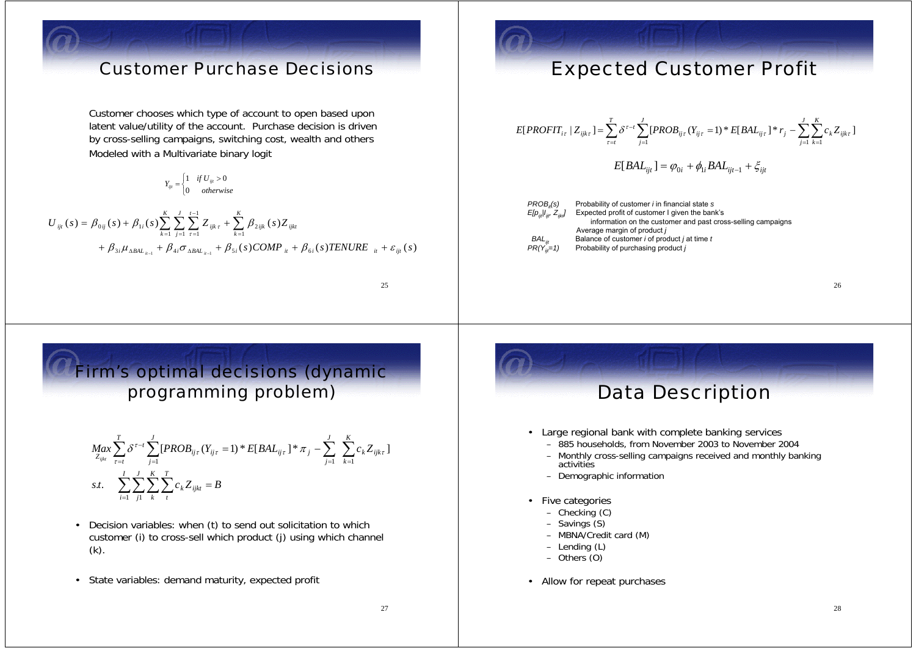#### Customer Purchase Decisions

Customer chooses which type of account to open based upon latent value/utility of the account. Purchase decision is driven by cross-selling campaigns, switching cost, wealth and others Modeled with a Multivariate binary logit

 $Y_{ijt} = \begin{cases} 1 & \text{if } U_{ijt} > 0 \\ 0 & \text{otherwise} \end{cases}$ 

$$
U_{ijt}(s) = \beta_{0ij}(s) + \beta_{1i}(s) \sum_{k=1}^{K} \sum_{j=1}^{J} \sum_{\tau=1}^{t-1} Z_{ijk\tau} + \sum_{k=1}^{K} \beta_{2ijk}(s) Z_{ijkt} + \beta_{3i} \mu_{\Delta B A L_{ii-1}} + \beta_{4i} \sigma_{\Delta B A L_{ii-1}} + \beta_{5i}(s) COMP_{it} + \beta_{6i}(s) TENURE_{it} + \varepsilon_{ijt}(s)
$$

25

#### Expected Customer Profit

$$
E[PROFIT_{i\tau} | Z_{ijkt}] = \sum_{\tau=t}^{T} \delta^{\tau-t} \sum_{j=1}^{J} [PROB_{ij\tau}(Y_{ij\tau} = 1) * E[BAL_{ij\tau}] * r_j - \sum_{j=1}^{J} \sum_{k=1}^{K} c_k Z_{ijkt}]
$$

$$
E[BAL_{ijt}] = \varphi_{0i} + \phi_{1i} BAL_{ijt-1} + \xi_{ijt}
$$

*PROB<sub>i</sub>(s)* Probability of customer *i* in financial state *s*  $E[p_{ij}|I_{ij}^{\dagger}\tilde{Z}_{ij}I_{ij}]$  Expected profit of customer I given the bank's information on the customer and past cross-selling campaigns Average margin of product *j BAL<sub>ijt</sub>* Balance of customer *i* of product *j* at time *t*  $PR(Y_{n=1}^{T})$  Probability of purchasing product *j* Probability of purchasing product *j* 

26

#### Firm's optimal decisions (dynamic programming problem)

$$
Max_{Z_{ijkl}} \sum_{\tau=t}^{T} \delta^{\tau-t} \sum_{j=1}^{J} [PROB_{ij\tau}(Y_{ij\tau} = 1) * E[BAL_{ij\tau}] * \pi_j - \sum_{j=1}^{J} \sum_{k=1}^{K} c_k Z_{ijk\tau}]
$$
  
s.t. 
$$
\sum_{i=1}^{I} \sum_{j=1}^{J} \sum_{k=1}^{K} \sum_{\tau}^{T} c_k Z_{ijk\tau} = B
$$

- Decision variables: when (t) to send out solicitation to which customer (i) to cross-sell which product (j) using which channel (k).
- State variables: demand maturity, expected profit



- Large regional bank with complete banking services
	- 885 households, from November 2003 to November 2004
	- Monthly cross-selling campaigns received and monthly banking activities
	- Demographic information
- • Five categories
	- Checking (C)
	- Savings (S)
	- MBNA/Credit card (M)
	- Lending (L)
	- Others (O)
- Allow for repeat purchases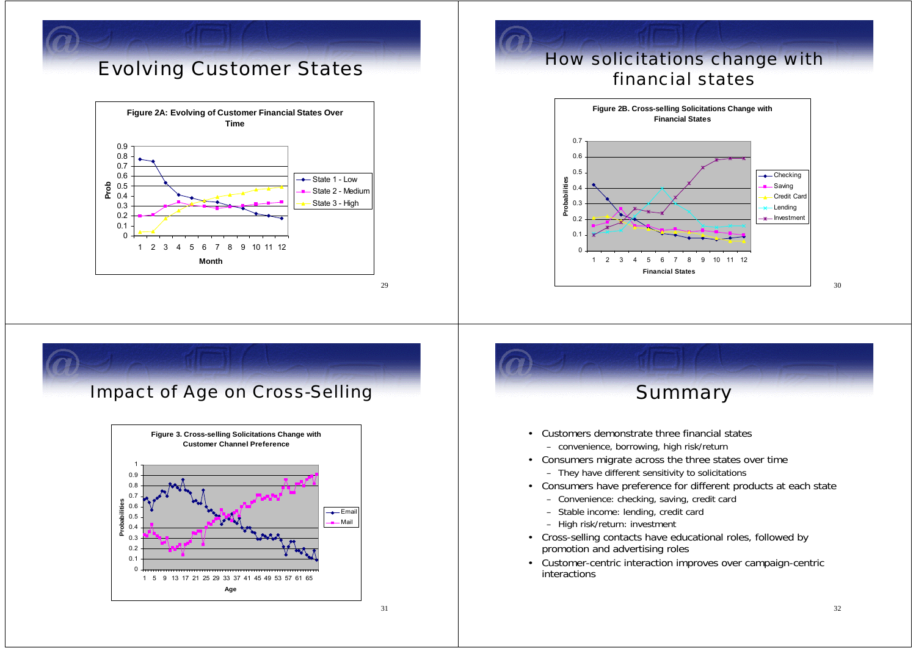### Evolving Customer States



29

#### How solicitations change with financial states



### Impact of Age on Cross-Selling





31